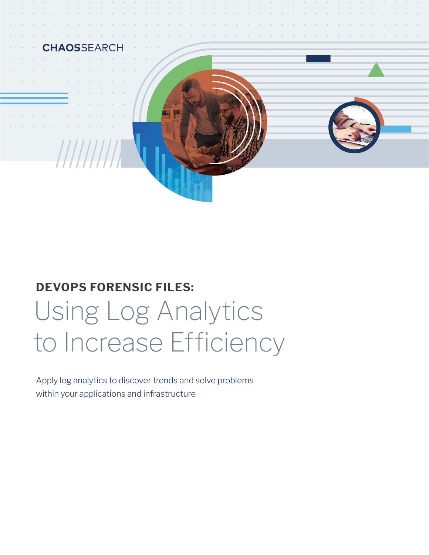

# Using Log Analytics to Increase Efficiency **DEVOPS FORENSIC FILES:**

Apply log analytics to discover trends and solve problems within your applications and infrastructure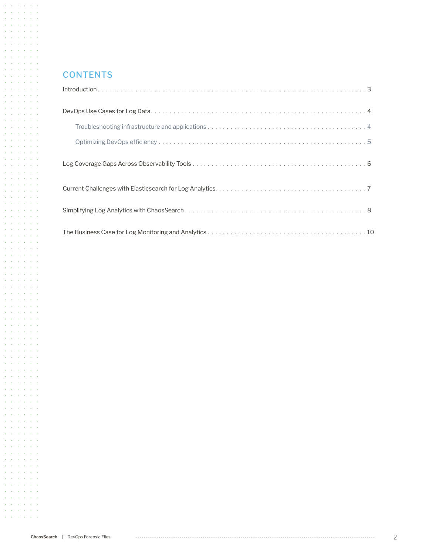## **CONTENTS**

 $\mathcal{A}$  and  $\mathcal{A}$  are  $\mathcal{A}$  . Then  $\mathcal{A}=\mathcal{A}$  ,  $\mathcal{A}=\mathcal{A}=\mathcal{A}=\mathcal{A}$  $\mathcal{A}=\mathcal{A}=\mathcal{A}=\mathcal{A}=\mathcal{A}=\mathcal{A}$  $\mathcal{A}$  and  $\mathcal{A}$  are  $\mathcal{A}$  . Then  $\mathcal{A}=\mathcal{A}=\mathcal{A}=\mathcal{A}=\mathcal{A}=\mathcal{A}$ **Service Street**  $\mathcal{A}=\mathcal{A}=\mathcal{A}=\mathcal{A}=\mathcal{A}=\mathcal{A}$  $\mathcal{A}=\mathcal{A}=\mathcal{A}=\mathcal{A}=\mathcal{A}=\mathcal{A}$  $\mathcal{A}=\mathcal{A}=\mathcal{A}=\mathcal{A}=\mathcal{A}=\mathcal{A}$  $\mathcal{A}=\mathcal{A}=\mathcal{A}=\mathcal{A}=\mathcal{A}=\mathcal{A}$ and a state of the  $\mathcal{A}=\mathcal{A}=\mathcal{A}=\mathcal{A}=\mathcal{A}=\mathcal{A}$  $\mathcal{A}=\mathcal{A}=\mathcal{A}=\mathcal{A}=\mathcal{A}=\mathcal{A}$  $\mathcal{A}=\mathcal{A}=\mathcal{A}=\mathcal{A}=\mathcal{A}=\mathcal{A}$  $\mathcal{A}$  and  $\mathcal{A}$  are  $\mathcal{A}$  . Then  $\mathcal{A}$  $\mathcal{A}=\mathcal{A}=\mathcal{A}=\mathcal{A}=\mathcal{A}=\mathcal{A}$  $\mathcal{A}=\mathcal{A}=\mathcal{A}=\mathcal{A}=\mathcal{A}=\mathcal{A}$  $\mathcal{A}=\mathcal{A}=\mathcal{A}=\mathcal{A}=\mathcal{A}=\mathcal{A}$  $\mathcal{A}=\mathcal{A}=\mathcal{A}=\mathcal{A}=\mathcal{A}=\mathcal{A}$  $\mathcal{A}=\mathcal{A}=\mathcal{A}=\mathcal{A}=\mathcal{A}=\mathcal{A}$  $\mathcal{A}=\mathcal{A}=\mathcal{A}=\mathcal{A}=\mathcal{A}=\mathcal{A}$ and a state of the  $\mathcal{A}$  ,  $\mathcal{A}$  ,  $\mathcal{A}$  ,  $\mathcal{A}$  ,  $\mathcal{A}$  ,  $\mathcal{A}$  $\alpha$  is a set of  $\alpha$  ,  $\alpha$  ,  $\alpha$  ,  $\alpha$  $\alpha$  ,  $\alpha$  ,  $\alpha$  ,  $\alpha$  ,  $\alpha$  ,  $\alpha$ **Contractor** Contractor  $\mathcal{A}=\mathcal{A}=\mathcal{A}=\mathcal{A}=\mathcal{A}=\mathcal{A}$  $\mathcal{A}=\mathcal{A}=\mathcal{A}=\mathcal{A}=\mathcal{A}=\mathcal{A}$  $\mathcal{A}=\mathcal{A}=\mathcal{A}=\mathcal{A}=\mathcal{A}=\mathcal{A}$  $\mathcal{A}$  and  $\mathcal{A}$  are  $\mathcal{A}$  . Then  $\mathcal{A}$  $\mathcal{A}=\mathcal{A}=\mathcal{A}=\mathcal{A}=\mathcal{A}=\mathcal{A}$  $\mathcal{A}$  ,  $\mathcal{A}$  ,  $\mathcal{A}$  ,  $\mathcal{A}$  ,  $\mathcal{A}$  ,  $\mathcal{A}$ and a state of the  $\mathcal{A}=\mathcal{A}=\mathcal{A}=\mathcal{A}=\mathcal{A}=\mathcal{A}$ and a state of the  $\mathcal{A}=\mathcal{A}=\mathcal{A}=\mathcal{A}=\mathcal{A}=\mathcal{A}$  $\mathcal{A}=\mathcal{A}=\mathcal{A}=\mathcal{A}=\mathcal{A}=\mathcal{A}$  $\mathcal{A}=\mathcal{A}=\mathcal{A}=\mathcal{A}=\mathcal{A}=\mathcal{A}$  $\alpha$  ,  $\alpha$  ,  $\alpha$  ,  $\alpha$  ,  $\alpha$  ,  $\alpha$  $\mathcal{A}=\mathcal{A}=\mathcal{A}=\mathcal{A}=\mathcal{A}=\mathcal{A}$  $\mathcal{A}$  and  $\mathcal{A}$  are  $\mathcal{A}$  and  $\mathcal{A}$  $\alpha$  ,  $\alpha$  ,  $\alpha$  ,  $\alpha$  ,  $\alpha$  ,  $\alpha$  $\mathcal{A}=\mathcal{A}=\mathcal{A}=\mathcal{A}=\mathcal{A}=\mathcal{A}$ **Service Street**  $\mathcal{A}$  and  $\mathcal{A}$  are  $\mathcal{A}$  . Then  $\mathcal{A}$  $\mathcal{A}=\mathcal{A}$  ,  $\mathcal{A}=\mathcal{A}=\mathcal{A}=\mathcal{A}$  $\mathcal{A}$  , and  $\mathcal{A}$  , and  $\mathcal{A}$  , and  $\mathcal{A}$  and  $\mathcal{A}$  are  $\mathcal{A}$  . Then  $\mathcal{A}=\mathcal{A}=\mathcal{A}=\mathcal{A}=\mathcal{A}=\mathcal{A}$ **Service Street**  $\mathcal{A}=\mathcal{A}=\mathcal{A}=\mathcal{A}=\mathcal{A}=\mathcal{A}$  $\mathcal{A}$  and  $\mathcal{A}$  are  $\mathcal{A}$  . Then  $\mathcal{A}=\mathcal{A}=\mathcal{A}=\mathcal{A}=\mathcal{A}=\mathcal{A}$  $\mathcal{A}=\mathcal{A}=\mathcal{A}=\mathcal{A}=\mathcal{A}=\mathcal{A}$ **Contractor** Service  $\mathcal{A}=\mathcal{A}=\mathcal{A}=\mathcal{A}=\mathcal{A}=\mathcal{A}$  $\mathcal{A}=\mathcal{A}=\mathcal{A}=\mathcal{A}=\mathcal{A}=\mathcal{A}$  $\mathcal{A}=\mathcal{A}=\mathcal{A}=\mathcal{A}=\mathcal{A}=\mathcal{A}$ and a state of the  $\mathcal{A}=\mathcal{A}=\mathcal{A}=\mathcal{A}=\mathcal{A}=\mathcal{A}$  $\mathcal{A}$  and  $\mathcal{A}$  are  $\mathcal{A}$  . Then  $\mathcal{A}=\mathcal{A}=\mathcal{A}=\mathcal{A}=\mathcal{A}=\mathcal{A}$  $\mathcal{A}=\mathcal{A}=\mathcal{A}=\mathcal{A}=\mathcal{A}=\mathcal{A}$  $\mathcal{A}=\mathcal{A}$  , and  $\mathcal{A}=\mathcal{A}$  , and  $\mathcal{A}=\mathcal{A}=\mathcal{A}=\mathcal{A}=\mathcal{A}=\mathcal{A}$  $\mathcal{A}=\mathcal{A}=\mathcal{A}=\mathcal{A}=\mathcal{A}=\mathcal{A}$  $\mathcal{A}=\mathcal{A}=\mathcal{A}=\mathcal{A}=\mathcal{A}=\mathcal{A}$  $\mathcal{A}$  and  $\mathcal{A}$  are  $\mathcal{A}$  . Then  $\mathcal{A}$  $\mathcal{A}=\mathcal{A}=\mathcal{A}=\mathcal{A}=\mathcal{A}=\mathcal{A}$ **Contractor** Service  $\mathcal{A}=\mathcal{A}=\mathcal{A}=\mathcal{A}=\mathcal{A}=\mathcal{A}$  $\mathcal{A}=\mathcal{A}=\mathcal{A}=\mathcal{A}=\mathcal{A}=\mathcal{A}$ and a state of the  $\mathcal{A}$  and  $\mathcal{A}$  are  $\mathcal{A}$  . Then  $\mathcal{A}$  $\mathcal{A}=\mathcal{A}=\mathcal{A}=\mathcal{A}=\mathcal{A}=\mathcal{A}$  $\mathcal{A}$  , and  $\mathcal{A}$  , and  $\mathcal{A}$ and a state of the  $\mathcal{A}=\mathcal{A}=\mathcal{A}=\mathcal{A}=\mathcal{A}=\mathcal{A}$  $\alpha$  ,  $\alpha$  ,  $\alpha$  ,  $\alpha$  ,  $\alpha$  ,  $\alpha$  $\mathcal{A}=\mathcal{A}=\mathcal{A}=\mathcal{A}=\mathcal{A}=\mathcal{A}$ and a state of the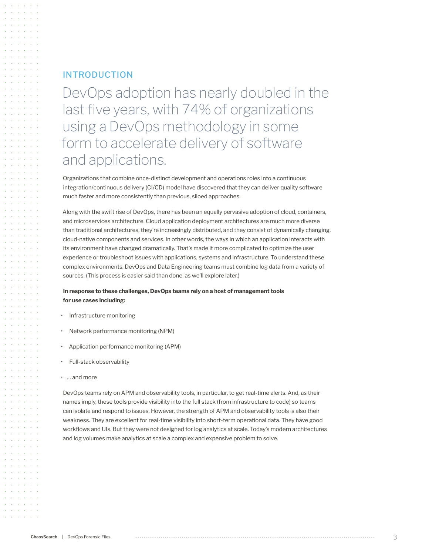## INTRODUCTION

DevOps adoption has nearly doubled in the last five years, with 74% of organizations using a DevOps methodology in some form to accelerate delivery of software and applications.

Organizations that combine once-distinct development and operations roles into a continuous integration/continuous delivery (CI/CD) model have discovered that they can deliver quality software much faster and more consistently than previous, siloed approaches.

Along with the swift rise of DevOps, there has been an equally pervasive adoption of cloud, containers, and microservices architecture. Cloud application deployment architectures are much more diverse than traditional architectures, they're increasingly distributed, and they consist of dynamically changing, cloud-native components and services. In other words, the ways in which an application interacts with its environment have changed dramatically. That's made it more complicated to optimize the user experience or troubleshoot issues with applications, systems and infrastructure. To understand these complex environments, DevOps and Data Engineering teams must combine log data from a variety of sources. (This process is easier said than done, as we'll explore later.)

## **In response to these challenges, DevOps teams rely on a host of management tools for use cases including:**

- Infrastructure monitoring
- Network performance monitoring (NPM)
- Application performance monitoring (APM)
- Full-stack observability
- … and more

DevOps teams rely on APM and observability tools, in particular, to get real-time alerts. And, as their names imply, these tools provide visibility into the full stack (from infrastructure to code) so teams can isolate and respond to issues. However, the strength of APM and observability tools is also their weakness. They are excellent for real-time visibility into short-term operational data. They have good workflows and UIs. But they were not designed for log analytics at scale. Today's modern architectures and log volumes make analytics at scale a complex and expensive problem to solve.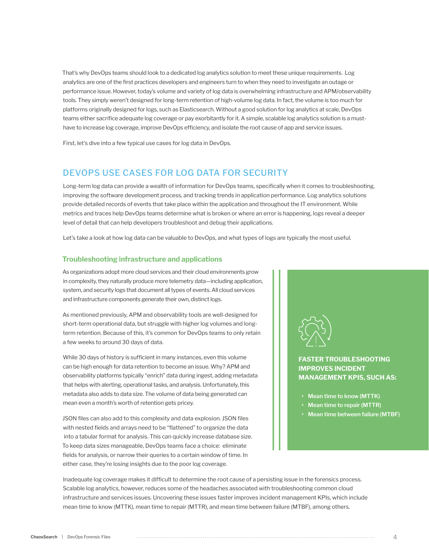That's why DevOps teams should look to a dedicated log analytics solution to meet these unique requirements. Log analytics are one of the first practices developers and engineers turn to when they need to investigate an outage or performance issue. However, today's volume and variety of log data is overwhelming infrastructure and APM/observability tools. They simply weren't designed for long-term retention of high-volume log data. In fact, the volume is too much for platforms originally designed for logs, such as Elasticsearch. Without a good solution for log analytics at scale, DevOps teams either sacrifice adequate log coverage or pay exorbitantly for it. A simple, scalable log analytics solution is a musthave to increase log coverage, improve DevOps efficiency, and isolate the root cause of app and service issues.

First, let's dive into a few typical use cases for log data in DevOps.

## DEVOPS USE CASES FOR LOG DATA FOR SECURITY

Long-term log data can provide a wealth of information for DevOps teams, specifically when it comes to troubleshooting, improving the software development process, and tracking trends in application performance. Log analytics solutions provide detailed records of events that take place within the application and throughout the IT environment. While metrics and traces help DevOps teams determine what is broken or where an error is happening, logs reveal a deeper level of detail that can help developers troubleshoot and debug their applications.

Let's take a look at how log data can be valuable to DevOps, and what types of logs are typically the most useful.

#### **Troubleshooting infrastructure and applications**

As organizations adopt more cloud services and their cloud environments grow in complexity, they naturally produce more telemetry data—including application, system, and security logs that document all types of events. All cloud services and infrastructure components generate their own, distinct logs.

As mentioned previously, APM and observability tools are well-designed for short-term operational data, but struggle with higher log volumes and longterm retention. Because of this, it's common for DevOps teams to only retain a few weeks to around 30 days of data.

While 30 days of history is sufficient in many instances, even this volume can be high enough for data retention to become an issue. Why? APM and observability platforms typically "enrich" data during ingest, adding metadata that helps with alerting, operational tasks, and analysis. Unfortunately, this metadata also adds to data size. The volume of data being generated can mean even a month's worth of retention gets pricey.

JSON files can also add to this complexity and data explosion. JSON files with nested fields and arrays need to be "flattened" to organize the data into a tabular format for analysis. This can quickly increase database size. To keep data sizes manageable, DevOps teams face a choice: eliminate fields for analysis, or narrow their queries to a certain window of time. In either case, they're losing insights due to the poor log coverage.



## **FASTER TROUBLESHOOTING IMPROVES INCIDENT MANAGEMENT KPIS, SUCH AS:**

- **• Mean time to know (MTTK)**
- **• Mean time to repair (MTTR)**
- **• Mean time between failure (MTBF)**

Inadequate log coverage makes it difficult to determine the root cause of a persisting issue in the forensics process. Scalable log analytics, however, reduces some of the headaches associated with troubleshooting common cloud infrastructure and services issues. Uncovering these issues faster improves incident management KPIs, which include mean time to know (MTTK), mean time to repair (MTTR), and mean time between failure (MTBF), among others.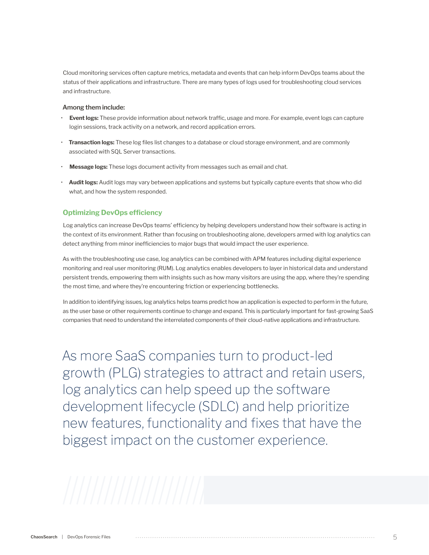Cloud monitoring services often capture metrics, metadata and events that can help inform DevOps teams about the status of their applications and infrastructure. There are many types of logs used for troubleshooting cloud services and infrastructure.

#### **Among them include:**

- **Event logs:** These provide information about network traffic, usage and more. For example, event logs can capture login sessions, track activity on a network, and record application errors.
- **Transaction logs:** These log files list changes to a database or cloud storage environment, and are commonly associated with SQL Server transactions.
- **Message logs:** These logs document activity from messages such as email and chat.
- **Audit logs:** Audit logs may vary between applications and systems but typically capture events that show who did what, and how the system responded.

## **Optimizing DevOps efficiency**

Log analytics can increase DevOps teams' efficiency by helping developers understand how their software is acting in the context of its environment. Rather than focusing on troubleshooting alone, developers armed with log analytics can detect anything from minor inefficiencies to major bugs that would impact the user experience.

As with the troubleshooting use case, log analytics can be combined with APM features including digital experience monitoring and real user monitoring (RUM). Log analytics enables developers to layer in historical data and understand persistent trends, empowering them with insights such as how many visitors are using the app, where they're spending the most time, and where they're encountering friction or experiencing bottlenecks.

In addition to identifying issues, log analytics helps teams predict how an application is expected to perform in the future, as the user base or other requirements continue to change and expand. This is particularly important for fast-growing SaaS companies that need to understand the interrelated components of their cloud-native applications and infrastructure.

As more SaaS companies turn to product-led growth (PLG) strategies to attract and retain users, log analytics can help speed up the software development lifecycle (SDLC) and help prioritize new features, functionality and fixes that have the biggest impact on the customer experience.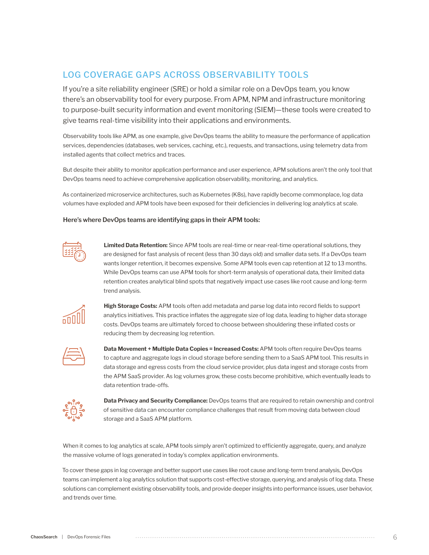# LOG COVERAGE GAPS ACROSS OBSERVABILITY TOOLS

If you're a site reliability engineer (SRE) or hold a similar role on a DevOps team, you know there's an observability tool for every purpose. From APM, NPM and infrastructure monitoring to purpose-built security information and event monitoring (SIEM)—these tools were created to give teams real-time visibility into their applications and environments.

Observability tools like APM, as one example, give DevOps teams the ability to measure the performance of application services, dependencies (databases, web services, caching, etc.), requests, and transactions, using telemetry data from installed agents that collect metrics and traces.

But despite their ability to monitor application performance and user experience, APM solutions aren't the only tool that DevOps teams need to achieve comprehensive application observability, monitoring, and analytics.

As containerized microservice architectures, such as Kubernetes (K8s), have rapidly become commonplace, log data volumes have exploded and APM tools have been exposed for their deficiencies in delivering log analytics at scale.

#### **Here's where DevOps teams are identifying gaps in their APM tools:**



**Limited Data Retention:** Since APM tools are real-time or near-real-time operational solutions, they are designed for fast analysis of recent (less than 30 days old) and smaller data sets. If a DevOps team wants longer retention, it becomes expensive. Some APM tools even cap retention at 12 to 13 months. While DevOps teams can use APM tools for short-term analysis of operational data, their limited data retention creates analytical blind spots that negatively impact use cases like root cause and long-term trend analysis.



**High Storage Costs:** APM tools often add metadata and parse log data into record fields to support analytics initiatives. This practice inflates the aggregate size of log data, leading to higher data storage costs. DevOps teams are ultimately forced to choose between shouldering these inflated costs or reducing them by decreasing log retention.

**Data Movement + Multiple Data Copies = Increased Costs:** APM tools often require DevOps teams to capture and aggregate logs in cloud storage before sending them to a SaaS APM tool. This results in data storage and egress costs from the cloud service provider, plus data ingest and storage costs from the APM SaaS provider. As log volumes grow, these costs become prohibitive, which eventually leads to data retention trade-offs.



**Data Privacy and Security Compliance:** DevOps teams that are required to retain ownership and control of sensitive data can encounter compliance challenges that result from moving data between cloud storage and a SaaS APM platform.

When it comes to log analytics at scale, APM tools simply aren't optimized to efficiently aggregate, query, and analyze the massive volume of logs generated in today's complex application environments.

To cover these gaps in log coverage and better support use cases like root cause and long-term trend analysis, DevOps teams can implement a log analytics solution that supports cost-effective storage, querying, and analysis of log data. These solutions can complement existing observability tools, and provide deeper insights into performance issues, user behavior, and trends over time.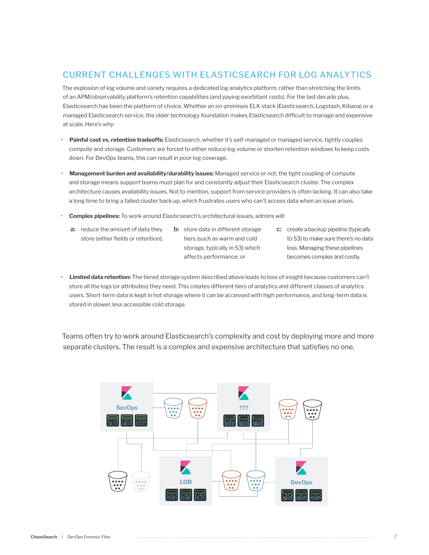# CURRENT CHALLENGES WITH ELASTICSEARCH FOR LOG ANALYTICS

The explosion of log volume and variety requires a dedicated log analytics platform, rather than stretching the limits of an APM/observability platform's retention capabilities (and paying exorbitant costs). For the last decade plus, Elasticsearch has been the platform of choice. Whether an on-premises ELK stack (Elasticsearch, Logstash, Kibana) or a managed Elasticsearch service, the older technology foundation makes Elasticsearch difficult to manage and expensive at scale. Here's why:

- **Painful cost vs. retention tradeoffs:** Elasticsearch, whether it's self-managed or managed service, tightly couples compute and storage. Customers are forced to either reduce log volume or shorten retention windows to keep costs down. For DevOps teams, this can result in poor log coverage.
- **Management burden and availability/durability issues:** Managed service or not, the tight coupling of compute and storage means support teams must plan for and constantly adjust their Elasticsearch cluster. The complex architecture causes availability issues. Not to mention, support from service providers is often lacking. It can also take a long time to bring a failed cluster back up, which frustrates users who can't access data when an issue arises.
- **Complex pipelines:** To work around Elasticsearch's architectural issues, admins will:
	- **a:** reduce the amount of data they **b:** store data in different storage **c:** store (either fields or retention);
		- **b:** store data in different storage tiers (such as warm and cold storage, typically in S3) which affects performance; or
- c: create a backup pipeline (typically to S3) to make sure there's no data loss. Managing these pipelines becomes complex and costly.
- **Limited data retention:** The tiered storage system described above leads to loss of insight because customers can't store all the logs (or attributes) they need. This creates different tiers of analytics and different classes of analytics users. Short-term data is kept in hot storage where it can be accessed with high performance, and long-term data is stored in slower, less accessible cold storage.

Teams often try to work around Elasticsearch's complexity and cost by deploying more and more separate clusters. The result is a complex and expensive architecture that satisfies no one.

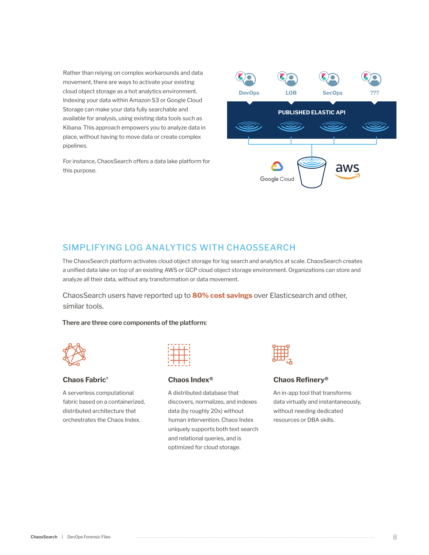Rather than relying on complex workarounds and data movement, there are ways to activate your existing cloud object storage as a hot analytics environment. Indexing your data within Amazon S3 or Google Cloud Storage can make your data fully searchable and available for analysis, using existing data tools such as Kibana. This approach empowers you to analyze data in place, without having to move data or create complex pipelines.

For instance, ChaosSearch offers a data lake platform for this purpose.



## SIMPLIFYING LOG ANALYTICS WITH CHAOSSEARCH

The ChaosSearch platform activates cloud object storage for log search and analytics at scale. ChaosSearch creates a unified data lake on top of an existing AWS or GCP cloud object storage environment. Organizations can store and analyze all their data, without any transformation or data movement.

ChaosSearch users have reported up to **80% cost savings** over Elasticsearch and other, similar tools.

#### **There are three core components of the platform:**



### **[Chaos Fabric](https://www.chaossearch.io/platform/features/fabric)®**

A serverless computational fabric based on a containerized, distributed architecture that orchestrates the Chaos Index.



#### **[Chaos Index®](https://www.chaossearch.io/platform/features/index)**

A distributed database that discovers, normalizes, and indexes data (by roughly 20x) without human intervention. Chaos Index uniquely supports both text search and relational queries, and is optimized for cloud storage.



## **[Chaos Refinery](https://www.chaossearch.io/platform/features/refinery)®**

An in-app tool that transforms data virtually and instantaneously, without needing dedicated resources or DBA skills.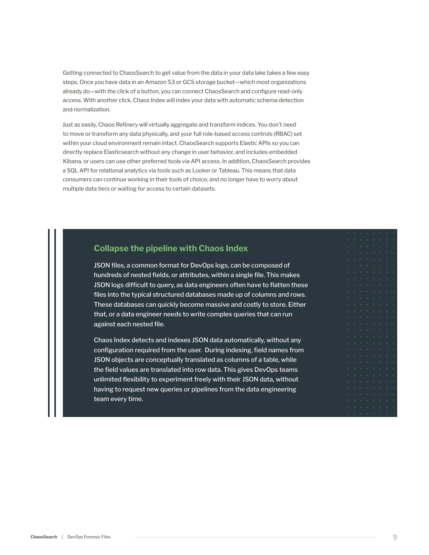Getting connected to ChaosSearch to get value from the data in your data lake takes a few easy steps. Once you have data in an Amazon S3 or GCS storage bucket—which most organizations already do—with the click of a button, you can connect ChaosSearch and configure read-only access. With another click, Chaos Index will index your data with automatic schema detection and normalization.

Just as easily, Chaos Refinery will virtually aggregate and transform indices. You don't need to move or transform any data physically, and your full role-based access controls (RBAC) set within your cloud environment remain intact. ChaosSearch supports Elastic APIs so you can directly replace Elasticsearch without any change in user behavior, and includes embedded Kibana, or users can use other preferred tools via API access. In addition, ChaosSearch provides a SQL API for relational analytics via tools such as Looker or Tableau. This means that data consumers can continue working in their tools of choice, and no longer have to worry about multiple data tiers or waiting for access to certain datasets.

# **Collapse the pipeline with Chaos Index**

JSON files, a common format for DevOps logs, can be composed of hundreds of nested fields, or attributes, within a single file. This makes JSON logs difficult to query, as data engineers often have to flatten these files into the typical structured databases made up of columns and rows. These databases can quickly become massive and costly to store. Either that, or a data engineer needs to write complex queries that can run against each nested file.

Chaos Index detects and indexes JSON data automatically, without any configuration required from the user. During indexing, field names from JSON objects are conceptually translated as columns of a table, while the field values are translated into row data. This gives DevOps teams unlimited flexibility to experiment freely with their JSON data, without having to request new queries or pipelines from the data engineering team every time.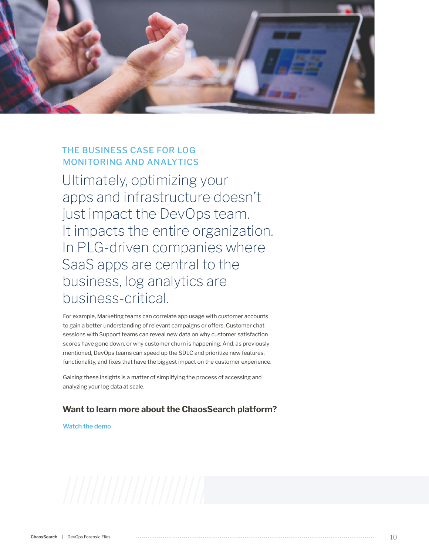

# THE BUSINESS CASE FOR LOG MONITORING AND ANALYTICS

Ultimately, optimizing your apps and infrastructure doesn't just impact the DevOps team. It impacts the entire organization. In PLG-driven companies where SaaS apps are central to the business, log analytics are business-critical.

For example, Marketing teams can correlate app usage with customer accounts to gain a better understanding of relevant campaigns or offers. Customer chat sessions with Support teams can reveal new data on why customer satisfaction scores have gone down, or why customer churn is happening. And, as previously mentioned, DevOps teams can speed up the SDLC and prioritize new features, functionality, and fixes that have the biggest impact on the customer experience.

Gaining these insights is a matter of simplifying the process of accessing and analyzing your log data at scale.

## **Want to learn more about the ChaosSearch platform?**

**[Watch the demo](https://www.chaossearch.io/demo-webinar)**